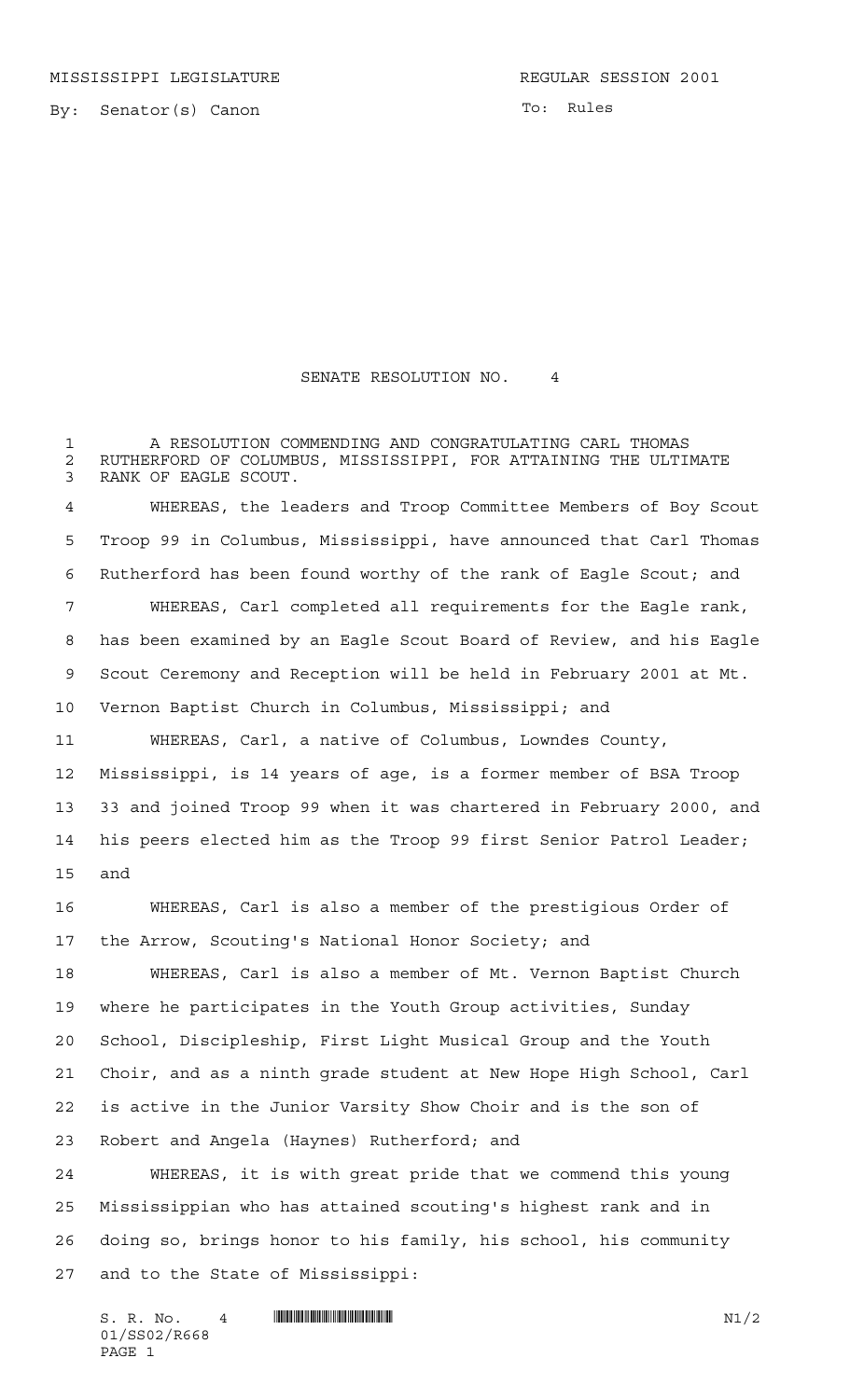MISSISSIPPI LEGISLATURE **REGULAR SESSION 2001** 

By: Senator(s) Canon

To: Rules

## SENATE RESOLUTION NO. 4

 A RESOLUTION COMMENDING AND CONGRATULATING CARL THOMAS 2 RUTHERFORD OF COLUMBUS, MISSISSIPPI, FOR ATTAINING THE ULTIMATE<br>3 RANK OF EAGLE SCOUT. RANK OF EAGLE SCOUT.

 WHEREAS, the leaders and Troop Committee Members of Boy Scout Troop 99 in Columbus, Mississippi, have announced that Carl Thomas Rutherford has been found worthy of the rank of Eagle Scout; and WHEREAS, Carl completed all requirements for the Eagle rank, has been examined by an Eagle Scout Board of Review, and his Eagle Scout Ceremony and Reception will be held in February 2001 at Mt. Vernon Baptist Church in Columbus, Mississippi; and

 WHEREAS, Carl, a native of Columbus, Lowndes County, Mississippi, is 14 years of age, is a former member of BSA Troop 33 and joined Troop 99 when it was chartered in February 2000, and his peers elected him as the Troop 99 first Senior Patrol Leader; and

 WHEREAS, Carl is also a member of the prestigious Order of the Arrow, Scouting's National Honor Society; and

 WHEREAS, Carl is also a member of Mt. Vernon Baptist Church where he participates in the Youth Group activities, Sunday School, Discipleship, First Light Musical Group and the Youth Choir, and as a ninth grade student at New Hope High School, Carl is active in the Junior Varsity Show Choir and is the son of Robert and Angela (Haynes) Rutherford; and

 WHEREAS, it is with great pride that we commend this young Mississippian who has attained scouting's highest rank and in doing so, brings honor to his family, his school, his community and to the State of Mississippi:

 $S. R. No. 4$  \*  $\blacksquare$   $\blacksquare$   $\blacksquare$   $\blacksquare$   $\blacksquare$   $\blacksquare$   $\blacksquare$   $\blacksquare$   $\blacksquare$   $\blacksquare$   $\blacksquare$   $\blacksquare$   $\blacksquare$   $\blacksquare$   $\blacksquare$   $\blacksquare$   $\blacksquare$   $\blacksquare$   $\blacksquare$   $\blacksquare$   $\blacksquare$   $\blacksquare$   $\blacksquare$   $\blacksquare$   $\blacksquare$   $\blacksquare$   $\blacksquare$   $\blacksquare$   $\blacksquare$   $\blacksquare$ 01/SS02/R668 PAGE 1